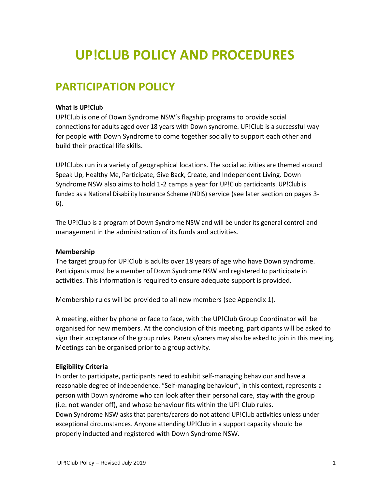# **UP!CLUB POLICY AND PROCEDURES**

### **PARTICIPATION POLICY**

#### **What is UP!Club**

UP!Club is one of Down Syndrome NSW's flagship programs to provide social connections for adults aged over 18 years with Down syndrome. UP!Club is a successful way for people with Down Syndrome to come together socially to support each other and build their practical life skills.

UP!Clubs run in a variety of geographical locations. The social activities are themed around Speak Up, Healthy Me, Participate, Give Back, Create, and Independent Living. Down Syndrome NSW also aims to hold 1-2 camps a year for UP!Club participants. UP!Club is funded as a National Disability Insurance Scheme (NDIS) service (see later section on pages 3- 6).

The UP!Club is a program of Down Syndrome NSW and will be under its general control and management in the administration of its funds and activities.

#### **Membership**

The target group for UP!Club is adults over 18 years of age who have Down syndrome. Participants must be a member of Down Syndrome NSW and registered to participate in activities. This information is required to ensure adequate support is provided.

Membership rules will be provided to all new members (see Appendix 1).

A meeting, either by phone or face to face, with the UP!Club Group Coordinator will be organised for new members. At the conclusion of this meeting, participants will be asked to sign their acceptance of the group rules. Parents/carers may also be asked to join in this meeting. Meetings can be organised prior to a group activity.

#### **Eligibility Criteria**

In order to participate, participants need to exhibit self-managing behaviour and have a reasonable degree of independence. "Self-managing behaviour", in this context, represents a person with Down syndrome who can look after their personal care, stay with the group (i.e. not wander off), and whose behaviour fits within the UP! Club rules. Down Syndrome NSW asks that parents/carers do not attend UP!Club activities unless under exceptional circumstances. Anyone attending UP!Club in a support capacity should be properly inducted and registered with Down Syndrome NSW.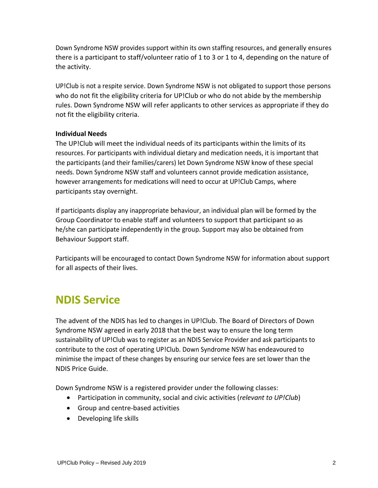Down Syndrome NSW provides support within its own staffing resources, and generally ensures there is a participant to staff/volunteer ratio of 1 to 3 or 1 to 4, depending on the nature of the activity.

UP!Club is not a respite service. Down Syndrome NSW is not obligated to support those persons who do not fit the eligibility criteria for UP!Club or who do not abide by the membership rules. Down Syndrome NSW will refer applicants to other services as appropriate if they do not fit the eligibility criteria.

### **Individual Needs**

The UP!Club will meet the individual needs of its participants within the limits of its resources. For participants with individual dietary and medication needs, it is important that the participants (and their families/carers) let Down Syndrome NSW know of these special needs. Down Syndrome NSW staff and volunteers cannot provide medication assistance, however arrangements for medications will need to occur at UP!Club Camps, where participants stay overnight.

If participants display any inappropriate behaviour, an individual plan will be formed by the Group Coordinator to enable staff and volunteers to support that participant so as he/she can participate independently in the group. Support may also be obtained from Behaviour Support staff.

Participants will be encouraged to contact Down Syndrome NSW for information about support for all aspects of their lives.

### **NDIS Service**

The advent of the NDIS has led to changes in UP!Club. The Board of Directors of Down Syndrome NSW agreed in early 2018 that the best way to ensure the long term sustainability of UP!Club was to register as an NDIS Service Provider and ask participants to contribute to the cost of operating UP!Club. Down Syndrome NSW has endeavoured to minimise the impact of these changes by ensuring our service fees are set lower than the NDIS Price Guide.

Down Syndrome NSW is a registered provider under the following classes:

- Participation in community, social and civic activities (*relevant to UP!Club*)
- Group and centre-based activities
- Developing life skills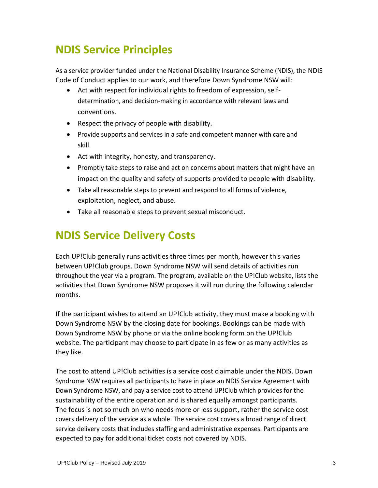# **NDIS Service Principles**

As a service provider funded under the National Disability Insurance Scheme (NDIS), the NDIS Code of Conduct applies to our work, and therefore Down Syndrome NSW will:

- Act with respect for individual rights to freedom of expression, selfdetermination, and decision-making in accordance with relevant laws and conventions.
- Respect the privacy of people with disability.
- Provide supports and services in a safe and competent manner with care and skill.
- Act with integrity, honesty, and transparency.
- Promptly take steps to raise and act on concerns about matters that might have an impact on the quality and safety of supports provided to people with disability.
- Take all reasonable steps to prevent and respond to all forms of violence, exploitation, neglect, and abuse.
- Take all reasonable steps to prevent sexual misconduct.

# **NDIS Service Delivery Costs**

Each UP!Club generally runs activities three times per month, however this varies between UP!Club groups. Down Syndrome NSW will send details of activities run throughout the year via a program. The program, available on the UP!Club website, lists the activities that Down Syndrome NSW proposes it will run during the following calendar months.

If the participant wishes to attend an UP!Club activity, they must make a booking with Down Syndrome NSW by the closing date for bookings. Bookings can be made with Down Syndrome NSW by phone or via the online booking form on the UP!Club website. The participant may choose to participate in as few or as many activities as they like.

The cost to attend UP!Club activities is a service cost claimable under the NDIS. Down Syndrome NSW requires all participants to have in place an NDIS Service Agreement with Down Syndrome NSW, and pay a service cost to attend UP!Club which provides for the sustainability of the entire operation and is shared equally amongst participants. The focus is not so much on who needs more or less support, rather the service cost covers delivery of the service as a whole. The service cost covers a broad range of direct service delivery costs that includes staffing and administrative expenses. Participants are expected to pay for additional ticket costs not covered by NDIS.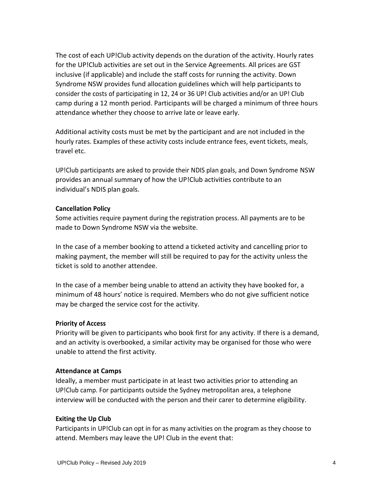The cost of each UP!Club activity depends on the duration of the activity. Hourly rates for the UP!Club activities are set out in the Service Agreements. All prices are GST inclusive (if applicable) and include the staff costs for running the activity. Down Syndrome NSW provides fund allocation guidelines which will help participants to consider the costs of participating in 12, 24 or 36 UP! Club activities and/or an UP! Club camp during a 12 month period. Participants will be charged a minimum of three hours attendance whether they choose to arrive late or leave early.

Additional activity costs must be met by the participant and are not included in the hourly rates. Examples of these activity costs include entrance fees, event tickets, meals, travel etc.

UP!Club participants are asked to provide their NDIS plan goals, and Down Syndrome NSW provides an annual summary of how the UP!Club activities contribute to an individual's NDIS plan goals.

#### **Cancellation Policy**

Some activities require payment during the registration process. All payments are to be made to Down Syndrome NSW via the website.

In the case of a member booking to attend a ticketed activity and cancelling prior to making payment, the member will still be required to pay for the activity unless the ticket is sold to another attendee.

In the case of a member being unable to attend an activity they have booked for, a minimum of 48 hours' notice is required. Members who do not give sufficient notice may be charged the service cost for the activity.

#### **Priority of Access**

Priority will be given to participants who book first for any activity. If there is a demand, and an activity is overbooked, a similar activity may be organised for those who were unable to attend the first activity.

#### **Attendance at Camps**

Ideally, a member must participate in at least two activities prior to attending an UP!Club camp. For participants outside the Sydney metropolitan area, a telephone interview will be conducted with the person and their carer to determine eligibility.

#### **Exiting the Up Club**

Participants in UP!Club can opt in for as many activities on the program as they choose to attend. Members may leave the UP! Club in the event that: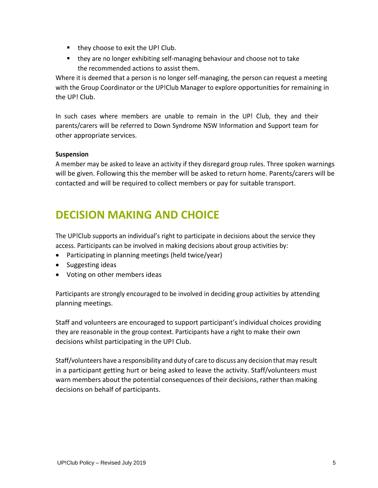- they choose to exit the UP! Club.
- they are no longer exhibiting self-managing behaviour and choose not to take the recommended actions to assist them.

Where it is deemed that a person is no longer self-managing, the person can request a meeting with the Group Coordinator or the UP!Club Manager to explore opportunities for remaining in the UP! Club.

In such cases where members are unable to remain in the UP! Club, they and their parents/carers will be referred to Down Syndrome NSW Information and Support team for other appropriate services.

### **Suspension**

A member may be asked to leave an activity if they disregard group rules. Three spoken warnings will be given. Following this the member will be asked to return home. Parents/carers will be contacted and will be required to collect members or pay for suitable transport.

### **DECISION MAKING AND CHOICE**

The UP!Club supports an individual's right to participate in decisions about the service they access. Participants can be involved in making decisions about group activities by:

- Participating in planning meetings (held twice/year)
- Suggesting ideas
- Voting on other members ideas

Participants are strongly encouraged to be involved in deciding group activities by attending planning meetings.

Staff and volunteers are encouraged to support participant's individual choices providing they are reasonable in the group context. Participants have a right to make their own decisions whilst participating in the UP! Club.

Staff/volunteers have a responsibility and duty of care to discuss any decision that may result in a participant getting hurt or being asked to leave the activity. Staff/volunteers must warn members about the potential consequences of their decisions, rather than making decisions on behalf of participants.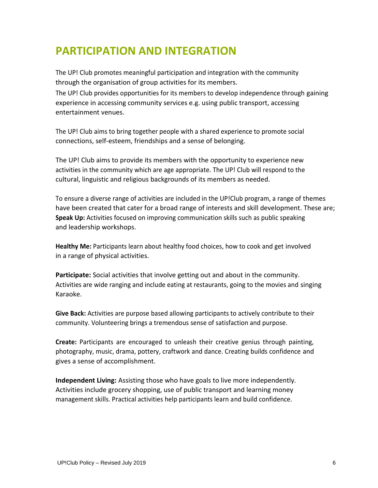### **PARTICIPATION AND INTEGRATION**

The UP! Club promotes meaningful participation and integration with the community through the organisation of group activities for its members.

The UP! Club provides opportunities for its members to develop independence through gaining experience in accessing community services e.g. using public transport, accessing entertainment venues.

The UP! Club aims to bring together people with a shared experience to promote social connections, self-esteem, friendships and a sense of belonging.

The UP! Club aims to provide its members with the opportunity to experience new activities in the community which are age appropriate. The UP! Club will respond to the cultural, linguistic and religious backgrounds of its members as needed.

To ensure a diverse range of activities are included in the UP!Club program, a range of themes have been created that cater for a broad range of interests and skill development. These are; **Speak Up:** Activities focused on improving communication skills such as public speaking and leadership workshops.

**Healthy Me:** Participants learn about healthy food choices, how to cook and get involved in a range of physical activities.

**Participate:** Social activities that involve getting out and about in the community. Activities are wide ranging and include eating at restaurants, going to the movies and singing Karaoke.

**Give Back:** Activities are purpose based allowing participants to actively contribute to their community. Volunteering brings a tremendous sense of satisfaction and purpose.

**Create:** Participants are encouraged to unleash their creative genius through painting, photography, music, drama, pottery, craftwork and dance. Creating builds confidence and gives a sense of accomplishment.

**Independent Living:** Assisting those who have goals to live more independently. Activities include grocery shopping, use of public transport and learning money management skills. Practical activities help participants learn and build confidence.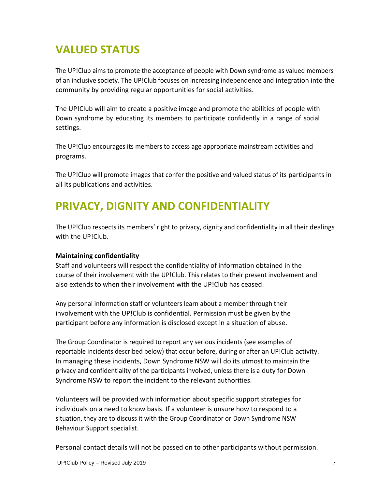# **VALUED STATUS**

The UP!Club aims to promote the acceptance of people with Down syndrome as valued members of an inclusive society. The UP!Club focuses on increasing independence and integration into the community by providing regular opportunities for social activities.

The UP!Club will aim to create a positive image and promote the abilities of people with Down syndrome by educating its members to participate confidently in a range of social settings.

The UP!Club encourages its members to access age appropriate mainstream activities and programs.

The UP!Club will promote images that confer the positive and valued status of its participants in all its publications and activities.

### **PRIVACY, DIGNITY AND CONFIDENTIALITY**

The UP!Club respects its members' right to privacy, dignity and confidentiality in all their dealings with the UP!Club.

### **Maintaining confidentiality**

Staff and volunteers will respect the confidentiality of information obtained in the course of their involvement with the UP!Club. This relates to their present involvement and also extends to when their involvement with the UP!Club has ceased.

Any personal information staff or volunteers learn about a member through their involvement with the UP!Club is confidential. Permission must be given by the participant before any information is disclosed except in a situation of abuse.

The Group Coordinator is required to report any serious incidents (see examples of reportable incidents described below) that occur before, during or after an UP!Club activity. In managing these incidents, Down Syndrome NSW will do its utmost to maintain the privacy and confidentiality of the participants involved, unless there is a duty for Down Syndrome NSW to report the incident to the relevant authorities.

Volunteers will be provided with information about specific support strategies for individuals on a need to know basis. If a volunteer is unsure how to respond to a situation, they are to discuss it with the Group Coordinator or Down Syndrome NSW Behaviour Support specialist.

Personal contact details will not be passed on to other participants without permission.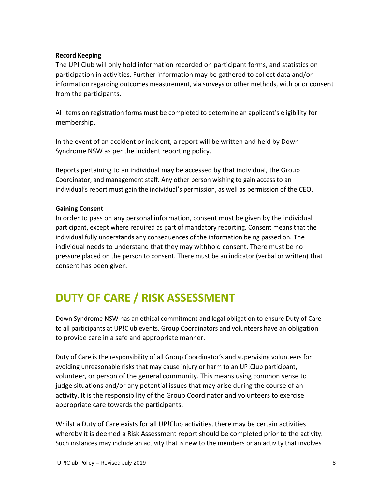#### **Record Keeping**

The UP! Club will only hold information recorded on participant forms, and statistics on participation in activities. Further information may be gathered to collect data and/or information regarding outcomes measurement, via surveys or other methods, with prior consent from the participants.

All items on registration forms must be completed to determine an applicant's eligibility for membership.

In the event of an accident or incident, a report will be written and held by Down Syndrome NSW as per the incident reporting policy.

Reports pertaining to an individual may be accessed by that individual, the Group Coordinator, and management staff. Any other person wishing to gain access to an individual's report must gain the individual's permission, as well as permission of the CEO.

### **Gaining Consent**

In order to pass on any personal information, consent must be given by the individual participant, except where required as part of mandatory reporting. Consent means that the individual fully understands any consequences of the information being passed on. The individual needs to understand that they may withhold consent. There must be no pressure placed on the person to consent. There must be an indicator (verbal or written) that consent has been given.

# **DUTY OF CARE / RISK ASSESSMENT**

Down Syndrome NSW has an ethical commitment and legal obligation to ensure Duty of Care to all participants at UP!Club events. Group Coordinators and volunteers have an obligation to provide care in a safe and appropriate manner.

Duty of Care is the responsibility of all Group Coordinator's and supervising volunteers for avoiding unreasonable risks that may cause injury or harm to an UP!Club participant, volunteer, or person of the general community. This means using common sense to judge situations and/or any potential issues that may arise during the course of an activity. It is the responsibility of the Group Coordinator and volunteers to exercise appropriate care towards the participants.

Whilst a Duty of Care exists for all UP!Club activities, there may be certain activities whereby it is deemed a Risk Assessment report should be completed prior to the activity. Such instances may include an activity that is new to the members or an activity that involves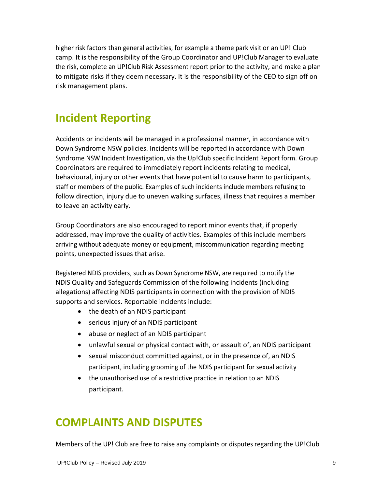higher risk factors than general activities, for example a theme park visit or an UP! Club camp. It is the responsibility of the Group Coordinator and UP!Club Manager to evaluate the risk, complete an UP!Club Risk Assessment report prior to the activity, and make a plan to mitigate risks if they deem necessary. It is the responsibility of the CEO to sign off on risk management plans.

# **Incident Reporting**

Accidents or incidents will be managed in a professional manner, in accordance with Down Syndrome NSW policies. Incidents will be reported in accordance with Down Syndrome NSW Incident Investigation, via the Up!Club specific Incident Report form. Group Coordinators are required to immediately report incidents relating to medical, behavioural, injury or other events that have potential to cause harm to participants, staff or members of the public. Examples of such incidents include members refusing to follow direction, injury due to uneven walking surfaces, illness that requires a member to leave an activity early.

Group Coordinators are also encouraged to report minor events that, if properly addressed, may improve the quality of activities. Examples of this include members arriving without adequate money or equipment, miscommunication regarding meeting points, unexpected issues that arise.

Registered NDIS providers, such as Down Syndrome NSW, are required to notify the NDIS Quality and Safeguards Commission of the following incidents (including allegations) affecting NDIS participants in connection with the provision of NDIS supports and services. Reportable incidents include:

- the death of an NDIS participant
- serious injury of an NDIS participant
- abuse or neglect of an NDIS participant
- unlawful sexual or physical contact with, or assault of, an NDIS participant
- sexual misconduct committed against, or in the presence of, an NDIS participant, including grooming of the NDIS participant for sexual activity
- the unauthorised use of a restrictive practice in relation to an NDIS participant.

### **COMPLAINTS AND DISPUTES**

Members of the UP! Club are free to raise any complaints or disputes regarding the UP!Club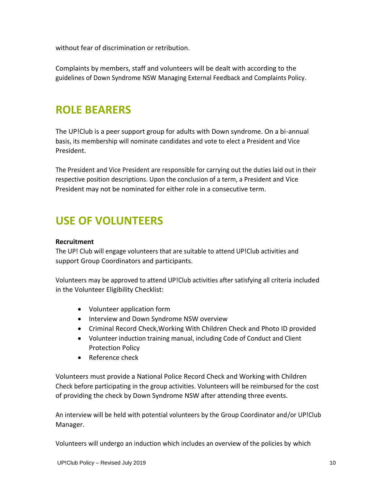without fear of discrimination or retribution.

Complaints by members, staff and volunteers will be dealt with according to the guidelines of Down Syndrome NSW Managing External Feedback and Complaints Policy.

### **ROLE BEARERS**

The UP!Club is a peer support group for adults with Down syndrome. On a bi-annual basis, its membership will nominate candidates and vote to elect a President and Vice President.

The President and Vice President are responsible for carrying out the duties laid out in their respective position descriptions. Upon the conclusion of a term, a President and Vice President may not be nominated for either role in a consecutive term.

# **USE OF VOLUNTEERS**

#### **Recruitment**

The UP! Club will engage volunteers that are suitable to attend UP!Club activities and support Group Coordinators and participants.

Volunteers may be approved to attend UP!Club activities after satisfying all criteria included in the Volunteer Eligibility Checklist:

- Volunteer application form
- Interview and Down Syndrome NSW overview
- Criminal Record Check,Working With Children Check and Photo ID provided
- Volunteer induction training manual, including Code of Conduct and Client Protection Policy
- Reference check

Volunteers must provide a National Police Record Check and Working with Children Check before participating in the group activities. Volunteers will be reimbursed for the cost of providing the check by Down Syndrome NSW after attending three events.

An interview will be held with potential volunteers by the Group Coordinator and/or UP!Club Manager.

Volunteers will undergo an induction which includes an overview of the policies by which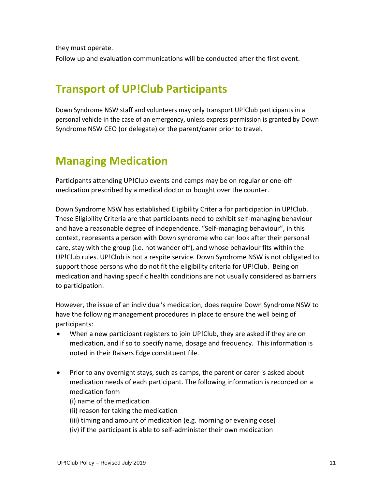they must operate.

Follow up and evaluation communications will be conducted after the first event.

### **Transport of UP!Club Participants**

Down Syndrome NSW staff and volunteers may only transport UP!Club participants in a personal vehicle in the case of an emergency, unless express permission is granted by Down Syndrome NSW CEO (or delegate) or the parent/carer prior to travel.

# **Managing Medication**

Participants attending UP!Club events and camps may be on regular or one-off medication prescribed by a medical doctor or bought over the counter.

Down Syndrome NSW has established Eligibility Criteria for participation in UP!Club. These Eligibility Criteria are that participants need to exhibit self-managing behaviour and have a reasonable degree of independence. "Self-managing behaviour", in this context, represents a person with Down syndrome who can look after their personal care, stay with the group (i.e. not wander off), and whose behaviour fits within the UP!Club rules. UP!Club is not a respite service. Down Syndrome NSW is not obligated to support those persons who do not fit the eligibility criteria for UP!Club. Being on medication and having specific health conditions are not usually considered as barriers to participation.

However, the issue of an individual's medication, does require Down Syndrome NSW to have the following management procedures in place to ensure the well being of participants:

- When a new participant registers to join UP!Club, they are asked if they are on medication, and if so to specify name, dosage and frequency. This information is noted in their Raisers Edge constituent file.
- Prior to any overnight stays, such as camps, the parent or carer is asked about medication needs of each participant. The following information is recorded on a medication form
	- (i) name of the medication
	- (ii) reason for taking the medication
	- (iii) timing and amount of medication (e.g. morning or evening dose)
	- (iv) if the participant is able to self-administer their own medication